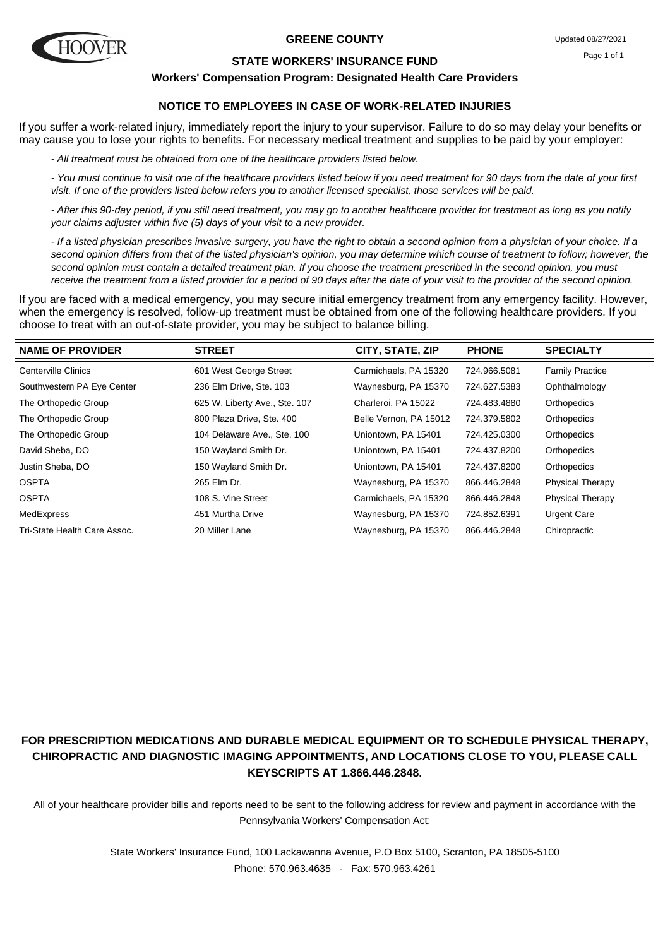

#### **GREENE COUNTY**

#### **STATE WORKERS' INSURANCE FUND**

**Workers' Compensation Program: Designated Health Care Providers**

## **NOTICE TO EMPLOYEES IN CASE OF WORK-RELATED INJURIES**

If you suffer a work-related injury, immediately report the injury to your supervisor. Failure to do so may delay your benefits or may cause you to lose your rights to benefits. For necessary medical treatment and supplies to be paid by your employer:

- All treatment must be obtained from one of the healthcare providers listed below.

- You must continue to visit one of the healthcare providers listed below if you need treatment for 90 days from the date of your first visit. If one of the providers listed below refers you to another licensed specialist, those services will be paid.

- After this 90-day period, if you still need treatment, you may go to another healthcare provider for treatment as long as you notify your claims adjuster within five (5) days of your visit to a new provider.

- If a listed physician prescribes invasive surgery, you have the right to obtain a second opinion from a physician of your choice. If a second opinion differs from that of the listed physician's opinion, you may determine which course of treatment to follow; however, the second opinion must contain a detailed treatment plan. If you choose the treatment prescribed in the second opinion, you must receive the treatment from a listed provider for a period of 90 days after the date of your visit to the provider of the second opinion.

If you are faced with a medical emergency, you may secure initial emergency treatment from any emergency facility. However, when the emergency is resolved, follow-up treatment must be obtained from one of the following healthcare providers. If you choose to treat with an out-of-state provider, you may be subject to balance billing.

| <b>NAME OF PROVIDER</b>      | <b>STREET</b>                 | CITY, STATE, ZIP       | <b>PHONE</b> | <b>SPECIALTY</b>        |
|------------------------------|-------------------------------|------------------------|--------------|-------------------------|
| Centerville Clinics          | 601 West George Street        | Carmichaels, PA 15320  | 724.966.5081 | <b>Family Practice</b>  |
| Southwestern PA Eye Center   | 236 Elm Drive, Ste. 103       | Waynesburg, PA 15370   | 724.627.5383 | Ophthalmology           |
| The Orthopedic Group         | 625 W. Liberty Ave., Ste. 107 | Charleroi, PA 15022    | 724.483.4880 | Orthopedics             |
| The Orthopedic Group         | 800 Plaza Drive, Ste. 400     | Belle Vernon, PA 15012 | 724.379.5802 | Orthopedics             |
| The Orthopedic Group         | 104 Delaware Ave., Ste. 100   | Uniontown, PA 15401    | 724.425.0300 | Orthopedics             |
| David Sheba, DO              | 150 Wayland Smith Dr.         | Uniontown, PA 15401    | 724.437.8200 | Orthopedics             |
| Justin Sheba, DO             | 150 Wayland Smith Dr.         | Uniontown, PA 15401    | 724.437.8200 | Orthopedics             |
| <b>OSPTA</b>                 | 265 Elm Dr.                   | Waynesburg, PA 15370   | 866.446.2848 | <b>Physical Therapy</b> |
| <b>OSPTA</b>                 | 108 S. Vine Street            | Carmichaels, PA 15320  | 866.446.2848 | <b>Physical Therapy</b> |
| MedExpress                   | 451 Murtha Drive              | Waynesburg, PA 15370   | 724.852.6391 | <b>Urgent Care</b>      |
| Tri-State Health Care Assoc. | 20 Miller Lane                | Waynesburg, PA 15370   | 866.446.2848 | Chiropractic            |

# **FOR PRESCRIPTION MEDICATIONS AND DURABLE MEDICAL EQUIPMENT OR TO SCHEDULE PHYSICAL THERAPY, CHIROPRACTIC AND DIAGNOSTIC IMAGING APPOINTMENTS, AND LOCATIONS CLOSE TO YOU, PLEASE CALL KEYSCRIPTS AT 1.866.446.2848.**

All of your healthcare provider bills and reports need to be sent to the following address for review and payment in accordance with the Pennsylvania Workers' Compensation Act: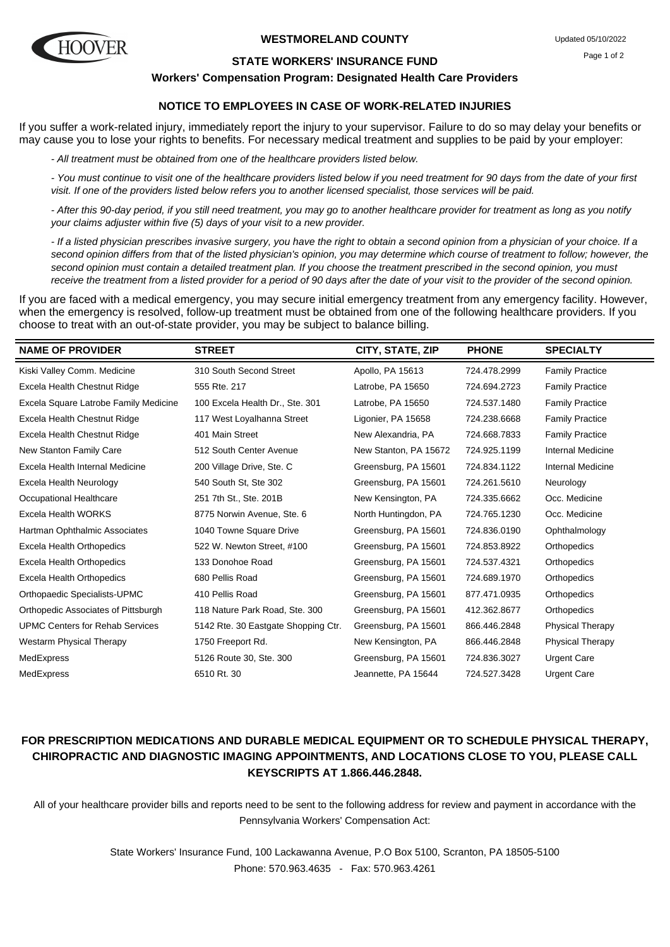

#### **WESTMORELAND COUNTY**

#### **STATE WORKERS' INSURANCE FUND**

#### **Workers' Compensation Program: Designated Health Care Providers**

## **NOTICE TO EMPLOYEES IN CASE OF WORK-RELATED INJURIES**

If you suffer a work-related injury, immediately report the injury to your supervisor. Failure to do so may delay your benefits or may cause you to lose your rights to benefits. For necessary medical treatment and supplies to be paid by your employer:

- All treatment must be obtained from one of the healthcare providers listed below.

- You must continue to visit one of the healthcare providers listed below if you need treatment for 90 days from the date of your first visit. If one of the providers listed below refers you to another licensed specialist, those services will be paid.

- After this 90-day period, if you still need treatment, you may go to another healthcare provider for treatment as long as you notify your claims adjuster within five (5) days of your visit to a new provider.

- If a listed physician prescribes invasive surgery, you have the right to obtain a second opinion from a physician of your choice. If a second opinion differs from that of the listed physician's opinion, you may determine which course of treatment to follow; however, the second opinion must contain a detailed treatment plan. If you choose the treatment prescribed in the second opinion, you must receive the treatment from a listed provider for a period of 90 days after the date of your visit to the provider of the second opinion.

If you are faced with a medical emergency, you may secure initial emergency treatment from any emergency facility. However, when the emergency is resolved, follow-up treatment must be obtained from one of the following healthcare providers. If you choose to treat with an out-of-state provider, you may be subject to balance billing.

| <b>NAME OF PROVIDER</b>                | <b>STREET</b>                       | CITY, STATE, ZIP      | <b>PHONE</b> | <b>SPECIALTY</b>        |
|----------------------------------------|-------------------------------------|-----------------------|--------------|-------------------------|
| Kiski Valley Comm. Medicine            | 310 South Second Street             | Apollo, PA 15613      | 724.478.2999 | <b>Family Practice</b>  |
| Excela Health Chestnut Ridge           | 555 Rte. 217                        | Latrobe, PA 15650     | 724.694.2723 | <b>Family Practice</b>  |
| Excela Square Latrobe Family Medicine  | 100 Excela Health Dr., Ste. 301     | Latrobe, PA 15650     | 724.537.1480 | <b>Family Practice</b>  |
| Excela Health Chestnut Ridge           | 117 West Loyalhanna Street          | Ligonier, PA 15658    | 724.238.6668 | <b>Family Practice</b>  |
| Excela Health Chestnut Ridge           | 401 Main Street                     | New Alexandria, PA    | 724.668.7833 | <b>Family Practice</b>  |
| New Stanton Family Care                | 512 South Center Avenue             | New Stanton, PA 15672 | 724.925.1199 | Internal Medicine       |
| Excela Health Internal Medicine        | 200 Village Drive, Ste. C           | Greensburg, PA 15601  | 724.834.1122 | Internal Medicine       |
| Excela Health Neurology                | 540 South St, Ste 302               | Greensburg, PA 15601  | 724.261.5610 | Neurology               |
| Occupational Healthcare                | 251 7th St., Ste. 201B              | New Kensington, PA    | 724.335.6662 | Occ. Medicine           |
| Excela Health WORKS                    | 8775 Norwin Avenue, Ste. 6          | North Huntingdon, PA  | 724.765.1230 | Occ. Medicine           |
| Hartman Ophthalmic Associates          | 1040 Towne Square Drive             | Greensburg, PA 15601  | 724.836.0190 | Ophthalmology           |
| Excela Health Orthopedics              | 522 W. Newton Street, #100          | Greensburg, PA 15601  | 724.853.8922 | Orthopedics             |
| Excela Health Orthopedics              | 133 Donohoe Road                    | Greensburg, PA 15601  | 724.537.4321 | Orthopedics             |
| <b>Excela Health Orthopedics</b>       | 680 Pellis Road                     | Greensburg, PA 15601  | 724.689.1970 | Orthopedics             |
| Orthopaedic Specialists-UPMC           | 410 Pellis Road                     | Greensburg, PA 15601  | 877.471.0935 | Orthopedics             |
| Orthopedic Associates of Pittsburgh    | 118 Nature Park Road, Ste. 300      | Greensburg, PA 15601  | 412.362.8677 | Orthopedics             |
| <b>UPMC Centers for Rehab Services</b> | 5142 Rte. 30 Eastgate Shopping Ctr. | Greensburg, PA 15601  | 866.446.2848 | <b>Physical Therapy</b> |
| <b>Westarm Physical Therapy</b>        | 1750 Freeport Rd.                   | New Kensington, PA    | 866.446.2848 | <b>Physical Therapy</b> |
| MedExpress                             | 5126 Route 30, Ste. 300             | Greensburg, PA 15601  | 724.836.3027 | <b>Urgent Care</b>      |
| MedExpress                             | 6510 Rt. 30                         | Jeannette, PA 15644   | 724.527.3428 | <b>Urgent Care</b>      |

## **FOR PRESCRIPTION MEDICATIONS AND DURABLE MEDICAL EQUIPMENT OR TO SCHEDULE PHYSICAL THERAPY, CHIROPRACTIC AND DIAGNOSTIC IMAGING APPOINTMENTS, AND LOCATIONS CLOSE TO YOU, PLEASE CALL KEYSCRIPTS AT 1.866.446.2848.**

All of your healthcare provider bills and reports need to be sent to the following address for review and payment in accordance with the Pennsylvania Workers' Compensation Act: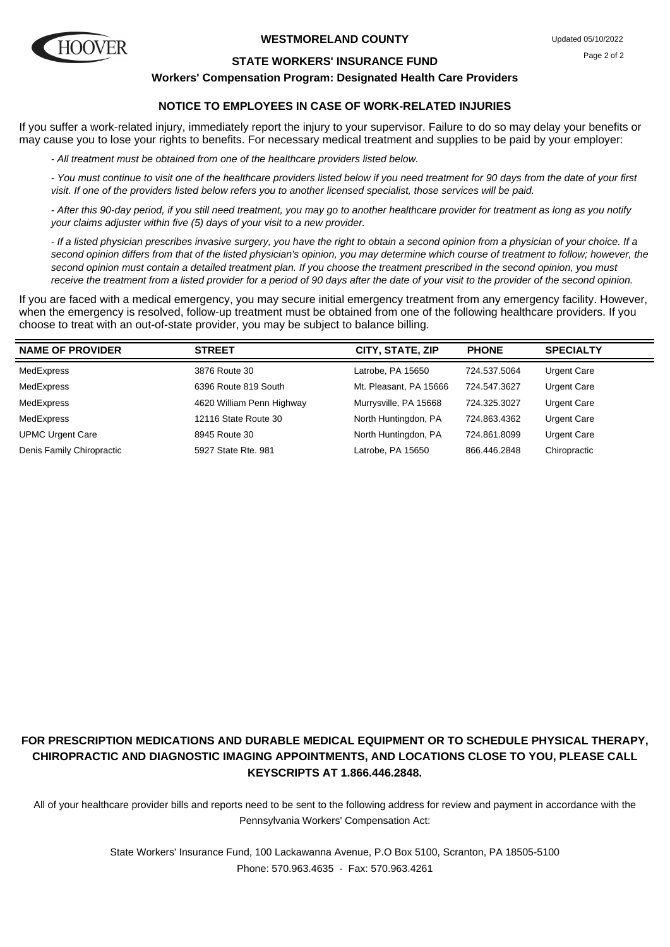

#### **WESTMORELAND COUNTY**

#### **STATE WORKERS' INSURANCE FUND**

#### **Workers' Compensation Program: Designated Health Care Providers**

## **NOTICE TO EMPLOYEES IN CASE OF WORK-RELATED INJURIES**

If you suffer a work-related injury, immediately report the injury to your supervisor. Failure to do so may delay your benefits or may cause you to lose your rights to benefits. For necessary medical treatment and supplies to be paid by your employer:

- All treatment must be obtained from one of the healthcare providers listed below.

- You must continue to visit one of the healthcare providers listed below if you need treatment for 90 days from the date of your first visit. If one of the providers listed below refers you to another licensed specialist, those services will be paid.

- After this 90-day period, if you still need treatment, you may go to another healthcare provider for treatment as long as you notify your claims adjuster within five (5) days of your visit to a new provider.

- If a listed physician prescribes invasive surgery, you have the right to obtain a second opinion from a physician of your choice. If a second opinion differs from that of the listed physician's opinion, you may determine which course of treatment to follow; however, the second opinion must contain a detailed treatment plan. If you choose the treatment prescribed in the second opinion, you must receive the treatment from a listed provider for a period of 90 days after the date of your visit to the provider of the second opinion.

If you are faced with a medical emergency, you may secure initial emergency treatment from any emergency facility. However, when the emergency is resolved, follow-up treatment must be obtained from one of the following healthcare providers. If you choose to treat with an out-of-state provider, you may be subject to balance billing.

| <b>NAME OF PROVIDER</b>   | <b>STREET</b>             | CITY, STATE, ZIP       | <b>PHONE</b> | <b>SPECIALTY</b>   |
|---------------------------|---------------------------|------------------------|--------------|--------------------|
| MedExpress                | 3876 Route 30             | Latrobe, PA 15650      | 724.537.5064 | <b>Urgent Care</b> |
| MedExpress                | 6396 Route 819 South      | Mt. Pleasant. PA 15666 | 724.547.3627 | Urgent Care        |
| MedExpress                | 4620 William Penn Highway | Murrysville, PA 15668  | 724.325.3027 | Urgent Care        |
| MedExpress                | 12116 State Route 30      | North Huntingdon, PA   | 724.863.4362 | Urgent Care        |
| <b>UPMC Urgent Care</b>   | 8945 Route 30             | North Huntingdon, PA   | 724.861.8099 | Urgent Care        |
| Denis Family Chiropractic | 5927 State Rte, 981       | Latrobe, PA 15650      | 866.446.2848 | Chiropractic       |

# **FOR PRESCRIPTION MEDICATIONS AND DURABLE MEDICAL EQUIPMENT OR TO SCHEDULE PHYSICAL THERAPY, CHIROPRACTIC AND DIAGNOSTIC IMAGING APPOINTMENTS, AND LOCATIONS CLOSE TO YOU, PLEASE CALL KEYSCRIPTS AT 1.866.446.2848.**

All of your healthcare provider bills and reports need to be sent to the following address for review and payment in accordance with the Pennsylvania Workers' Compensation Act: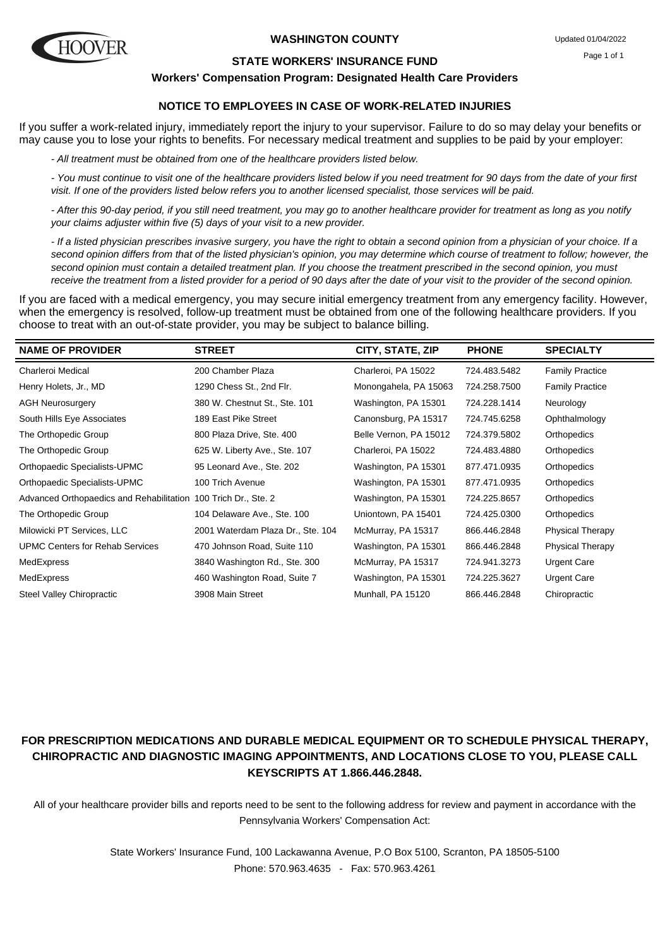

#### **WASHINGTON COUNTY**

#### **STATE WORKERS' INSURANCE FUND**

#### **Workers' Compensation Program: Designated Health Care Providers**

## **NOTICE TO EMPLOYEES IN CASE OF WORK-RELATED INJURIES**

If you suffer a work-related injury, immediately report the injury to your supervisor. Failure to do so may delay your benefits or may cause you to lose your rights to benefits. For necessary medical treatment and supplies to be paid by your employer:

- All treatment must be obtained from one of the healthcare providers listed below.

- You must continue to visit one of the healthcare providers listed below if you need treatment for 90 days from the date of your first visit. If one of the providers listed below refers you to another licensed specialist, those services will be paid.

- After this 90-day period, if you still need treatment, you may go to another healthcare provider for treatment as long as you notify your claims adjuster within five (5) days of your visit to a new provider.

- If a listed physician prescribes invasive surgery, you have the right to obtain a second opinion from a physician of your choice. If a second opinion differs from that of the listed physician's opinion, you may determine which course of treatment to follow; however, the second opinion must contain a detailed treatment plan. If you choose the treatment prescribed in the second opinion, you must receive the treatment from a listed provider for a period of 90 days after the date of your visit to the provider of the second opinion.

If you are faced with a medical emergency, you may secure initial emergency treatment from any emergency facility. However, when the emergency is resolved, follow-up treatment must be obtained from one of the following healthcare providers. If you choose to treat with an out-of-state provider, you may be subject to balance billing.

| <b>NAME OF PROVIDER</b>                  | <b>STREET</b>                     | CITY, STATE, ZIP       | <b>PHONE</b> | <b>SPECIALTY</b>        |
|------------------------------------------|-----------------------------------|------------------------|--------------|-------------------------|
| <b>Charleroi Medical</b>                 | 200 Chamber Plaza                 | Charleroi, PA 15022    | 724.483.5482 | <b>Family Practice</b>  |
| Henry Holets, Jr., MD                    | 1290 Chess St., 2nd Flr.          | Monongahela, PA 15063  | 724.258.7500 | <b>Family Practice</b>  |
| <b>AGH Neurosurgery</b>                  | 380 W. Chestnut St., Ste. 101     | Washington, PA 15301   | 724.228.1414 | Neurology               |
| South Hills Eye Associates               | 189 East Pike Street              | Canonsburg, PA 15317   | 724.745.6258 | Ophthalmology           |
| The Orthopedic Group                     | 800 Plaza Drive, Ste. 400         | Belle Vernon, PA 15012 | 724.379.5802 | Orthopedics             |
| The Orthopedic Group                     | 625 W. Liberty Ave., Ste. 107     | Charleroi, PA 15022    | 724.483.4880 | Orthopedics             |
| Orthopaedic Specialists-UPMC             | 95 Leonard Ave., Ste. 202         | Washington, PA 15301   | 877.471.0935 | Orthopedics             |
| Orthopaedic Specialists-UPMC             | 100 Trich Avenue                  | Washington, PA 15301   | 877.471.0935 | Orthopedics             |
| Advanced Orthopaedics and Rehabilitation | 100 Trich Dr., Ste. 2             | Washington, PA 15301   | 724.225.8657 | Orthopedics             |
| The Orthopedic Group                     | 104 Delaware Ave., Ste. 100       | Uniontown, PA 15401    | 724.425.0300 | Orthopedics             |
| Milowicki PT Services, LLC               | 2001 Waterdam Plaza Dr., Ste. 104 | McMurray, PA 15317     | 866.446.2848 | <b>Physical Therapy</b> |
| <b>UPMC Centers for Rehab Services</b>   | 470 Johnson Road, Suite 110       | Washington, PA 15301   | 866.446.2848 | <b>Physical Therapy</b> |
| MedExpress                               | 3840 Washington Rd., Ste. 300     | McMurray, PA 15317     | 724.941.3273 | Urgent Care             |
| MedExpress                               | 460 Washington Road, Suite 7      | Washington, PA 15301   | 724.225.3627 | <b>Urgent Care</b>      |
| <b>Steel Valley Chiropractic</b>         | 3908 Main Street                  | Munhall, PA 15120      | 866.446.2848 | Chiropractic            |

# **FOR PRESCRIPTION MEDICATIONS AND DURABLE MEDICAL EQUIPMENT OR TO SCHEDULE PHYSICAL THERAPY, CHIROPRACTIC AND DIAGNOSTIC IMAGING APPOINTMENTS, AND LOCATIONS CLOSE TO YOU, PLEASE CALL KEYSCRIPTS AT 1.866.446.2848.**

All of your healthcare provider bills and reports need to be sent to the following address for review and payment in accordance with the Pennsylvania Workers' Compensation Act: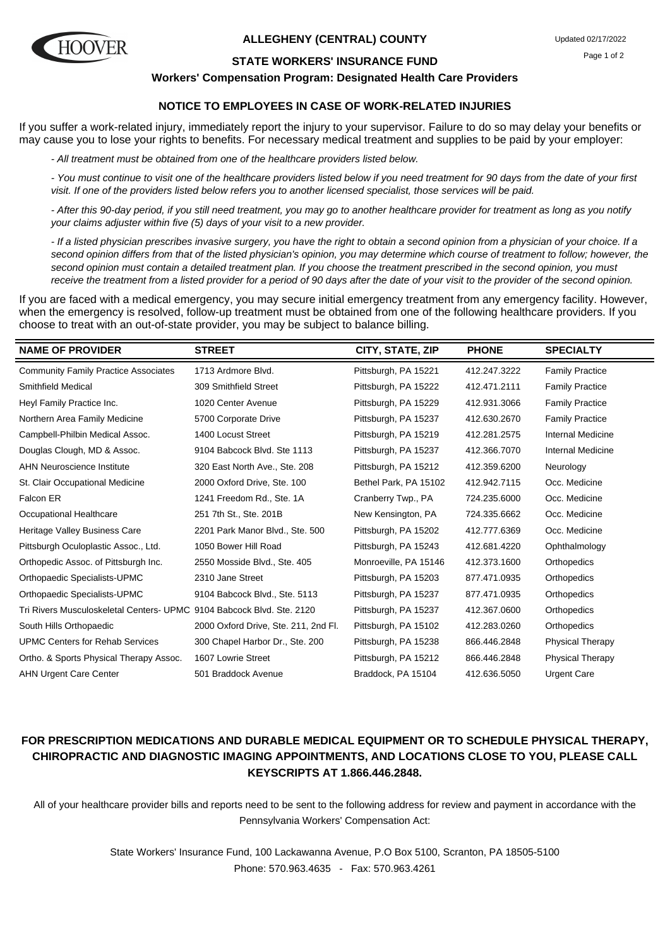

#### **ALLEGHENY (CENTRAL) COUNTY**

#### **STATE WORKERS' INSURANCE FUND**

**Workers' Compensation Program: Designated Health Care Providers**

## **NOTICE TO EMPLOYEES IN CASE OF WORK-RELATED INJURIES**

If you suffer a work-related injury, immediately report the injury to your supervisor. Failure to do so may delay your benefits or may cause you to lose your rights to benefits. For necessary medical treatment and supplies to be paid by your employer:

- All treatment must be obtained from one of the healthcare providers listed below.

- You must continue to visit one of the healthcare providers listed below if you need treatment for 90 days from the date of your first visit. If one of the providers listed below refers you to another licensed specialist, those services will be paid.

- After this 90-day period, if you still need treatment, you may go to another healthcare provider for treatment as long as you notify your claims adjuster within five (5) days of your visit to a new provider.

- If a listed physician prescribes invasive surgery, you have the right to obtain a second opinion from a physician of your choice. If a second opinion differs from that of the listed physician's opinion, you may determine which course of treatment to follow; however, the second opinion must contain a detailed treatment plan. If you choose the treatment prescribed in the second opinion, you must receive the treatment from a listed provider for a period of 90 days after the date of your visit to the provider of the second opinion.

If you are faced with a medical emergency, you may secure initial emergency treatment from any emergency facility. However, when the emergency is resolved, follow-up treatment must be obtained from one of the following healthcare providers. If you choose to treat with an out-of-state provider, you may be subject to balance billing.

| <b>NAME OF PROVIDER</b>                                               | <b>STREET</b>                        | CITY, STATE, ZIP      | <b>PHONE</b> | <b>SPECIALTY</b>         |
|-----------------------------------------------------------------------|--------------------------------------|-----------------------|--------------|--------------------------|
| <b>Community Family Practice Associates</b>                           | 1713 Ardmore Blvd.                   | Pittsburgh, PA 15221  | 412.247.3222 | <b>Family Practice</b>   |
| Smithfield Medical                                                    | 309 Smithfield Street                | Pittsburgh, PA 15222  | 412.471.2111 | <b>Family Practice</b>   |
| Heyl Family Practice Inc.                                             | 1020 Center Avenue                   | Pittsburgh, PA 15229  | 412.931.3066 | <b>Family Practice</b>   |
| Northern Area Family Medicine                                         | 5700 Corporate Drive                 | Pittsburgh, PA 15237  | 412.630.2670 | <b>Family Practice</b>   |
| Campbell-Philbin Medical Assoc.                                       | 1400 Locust Street                   | Pittsburgh, PA 15219  | 412.281.2575 | Internal Medicine        |
| Douglas Clough, MD & Assoc.                                           | 9104 Babcock Blvd. Ste 1113          | Pittsburgh, PA 15237  | 412.366.7070 | <b>Internal Medicine</b> |
| <b>AHN Neuroscience Institute</b>                                     | 320 East North Ave., Ste. 208        | Pittsburgh, PA 15212  | 412.359.6200 | Neurology                |
| St. Clair Occupational Medicine                                       | 2000 Oxford Drive, Ste. 100          | Bethel Park, PA 15102 | 412.942.7115 | Occ. Medicine            |
| Falcon ER                                                             | 1241 Freedom Rd., Ste. 1A            | Cranberry Twp., PA    | 724.235.6000 | Occ. Medicine            |
| Occupational Healthcare                                               | 251 7th St., Ste. 201B               | New Kensington, PA    | 724.335.6662 | Occ. Medicine            |
| Heritage Valley Business Care                                         | 2201 Park Manor Blvd., Ste. 500      | Pittsburgh, PA 15202  | 412.777.6369 | Occ. Medicine            |
| Pittsburgh Oculoplastic Assoc., Ltd.                                  | 1050 Bower Hill Road                 | Pittsburgh, PA 15243  | 412.681.4220 | Ophthalmology            |
| Orthopedic Assoc. of Pittsburgh Inc.                                  | 2550 Mosside Blvd., Ste. 405         | Monroeville, PA 15146 | 412.373.1600 | Orthopedics              |
| Orthopaedic Specialists-UPMC                                          | 2310 Jane Street                     | Pittsburgh, PA 15203  | 877.471.0935 | Orthopedics              |
| Orthopaedic Specialists-UPMC                                          | 9104 Babcock Blvd., Ste. 5113        | Pittsburgh, PA 15237  | 877.471.0935 | Orthopedics              |
| Tri Rivers Musculoskeletal Centers- UPMC 9104 Babcock Blvd. Ste. 2120 |                                      | Pittsburgh, PA 15237  | 412.367.0600 | Orthopedics              |
| South Hills Orthopaedic                                               | 2000 Oxford Drive, Ste. 211, 2nd Fl. | Pittsburgh, PA 15102  | 412.283.0260 | Orthopedics              |
| <b>UPMC Centers for Rehab Services</b>                                | 300 Chapel Harbor Dr., Ste. 200      | Pittsburgh, PA 15238  | 866.446.2848 | <b>Physical Therapy</b>  |
| Ortho. & Sports Physical Therapy Assoc.                               | 1607 Lowrie Street                   | Pittsburgh, PA 15212  | 866.446.2848 | <b>Physical Therapy</b>  |
| <b>AHN Urgent Care Center</b>                                         | 501 Braddock Avenue                  | Braddock, PA 15104    | 412.636.5050 | <b>Urgent Care</b>       |

## **FOR PRESCRIPTION MEDICATIONS AND DURABLE MEDICAL EQUIPMENT OR TO SCHEDULE PHYSICAL THERAPY, CHIROPRACTIC AND DIAGNOSTIC IMAGING APPOINTMENTS, AND LOCATIONS CLOSE TO YOU, PLEASE CALL KEYSCRIPTS AT 1.866.446.2848.**

All of your healthcare provider bills and reports need to be sent to the following address for review and payment in accordance with the Pennsylvania Workers' Compensation Act: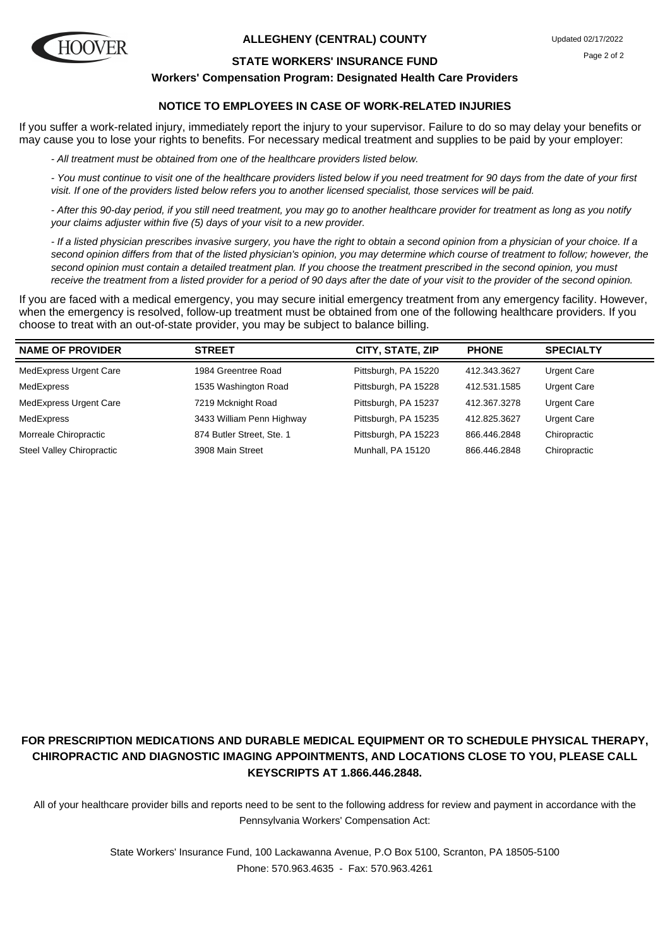

#### **ALLEGHENY (CENTRAL) COUNTY**

#### **STATE WORKERS' INSURANCE FUND**

**Workers' Compensation Program: Designated Health Care Providers**

## **NOTICE TO EMPLOYEES IN CASE OF WORK-RELATED INJURIES**

If you suffer a work-related injury, immediately report the injury to your supervisor. Failure to do so may delay your benefits or may cause you to lose your rights to benefits. For necessary medical treatment and supplies to be paid by your employer:

- All treatment must be obtained from one of the healthcare providers listed below.

- You must continue to visit one of the healthcare providers listed below if you need treatment for 90 days from the date of your first visit. If one of the providers listed below refers you to another licensed specialist, those services will be paid.

- After this 90-day period, if you still need treatment, you may go to another healthcare provider for treatment as long as you notify your claims adjuster within five (5) days of your visit to a new provider.

- If a listed physician prescribes invasive surgery, you have the right to obtain a second opinion from a physician of your choice. If a second opinion differs from that of the listed physician's opinion, you may determine which course of treatment to follow; however, the second opinion must contain a detailed treatment plan. If you choose the treatment prescribed in the second opinion, you must receive the treatment from a listed provider for a period of 90 days after the date of your visit to the provider of the second opinion.

If you are faced with a medical emergency, you may secure initial emergency treatment from any emergency facility. However, when the emergency is resolved, follow-up treatment must be obtained from one of the following healthcare providers. If you choose to treat with an out-of-state provider, you may be subject to balance billing.

| <b>NAME OF PROVIDER</b>       | <b>STREET</b>             | CITY, STATE, ZIP     | <b>PHONE</b> | <b>SPECIALTY</b>   |
|-------------------------------|---------------------------|----------------------|--------------|--------------------|
| <b>MedExpress Urgent Care</b> | 1984 Greentree Road       | Pittsburgh, PA 15220 | 412.343.3627 | <b>Urgent Care</b> |
| MedExpress                    | 1535 Washington Road      | Pittsburgh, PA 15228 | 412.531.1585 | <b>Urgent Care</b> |
| <b>MedExpress Urgent Care</b> | 7219 Mcknight Road        | Pittsburgh, PA 15237 | 412.367.3278 | Urgent Care        |
| MedExpress                    | 3433 William Penn Highway | Pittsburgh, PA 15235 | 412.825.3627 | <b>Urgent Care</b> |
| Morreale Chiropractic         | 874 Butler Street, Ste. 1 | Pittsburgh, PA 15223 | 866.446.2848 | Chiropractic       |
| Steel Valley Chiropractic     | 3908 Main Street          | Munhall, PA 15120    | 866.446.2848 | Chiropractic       |

# **FOR PRESCRIPTION MEDICATIONS AND DURABLE MEDICAL EQUIPMENT OR TO SCHEDULE PHYSICAL THERAPY, CHIROPRACTIC AND DIAGNOSTIC IMAGING APPOINTMENTS, AND LOCATIONS CLOSE TO YOU, PLEASE CALL KEYSCRIPTS AT 1.866.446.2848.**

All of your healthcare provider bills and reports need to be sent to the following address for review and payment in accordance with the Pennsylvania Workers' Compensation Act: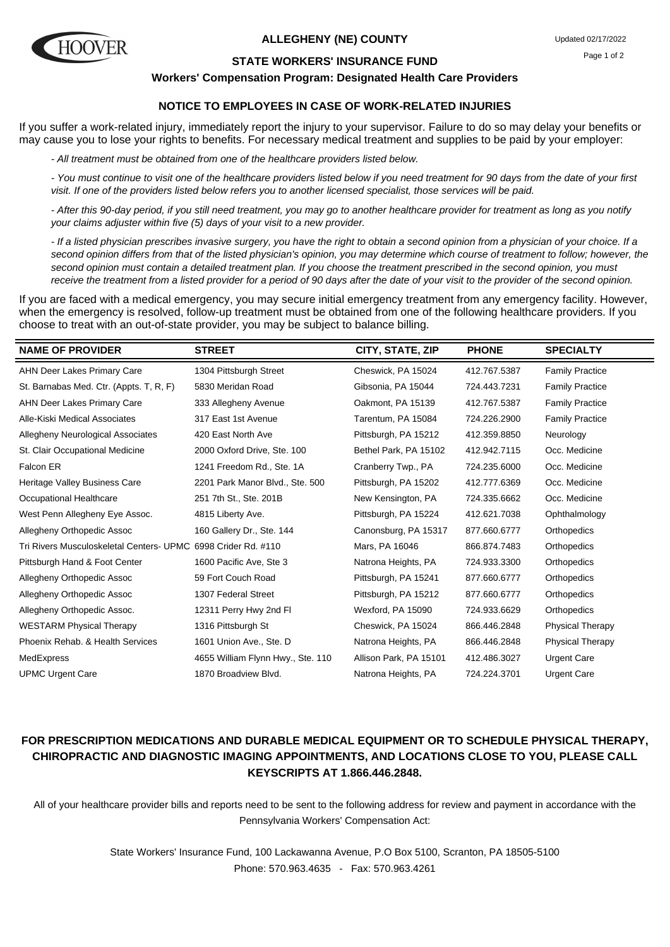

#### **ALLEGHENY (NE) COUNTY**

#### **STATE WORKERS' INSURANCE FUND**

#### **Workers' Compensation Program: Designated Health Care Providers**

## **NOTICE TO EMPLOYEES IN CASE OF WORK-RELATED INJURIES**

If you suffer a work-related injury, immediately report the injury to your supervisor. Failure to do so may delay your benefits or may cause you to lose your rights to benefits. For necessary medical treatment and supplies to be paid by your employer:

- All treatment must be obtained from one of the healthcare providers listed below.

- You must continue to visit one of the healthcare providers listed below if you need treatment for 90 days from the date of your first visit. If one of the providers listed below refers you to another licensed specialist, those services will be paid.

- After this 90-day period, if you still need treatment, you may go to another healthcare provider for treatment as long as you notify your claims adjuster within five (5) days of your visit to a new provider.

- If a listed physician prescribes invasive surgery, you have the right to obtain a second opinion from a physician of your choice. If a second opinion differs from that of the listed physician's opinion, you may determine which course of treatment to follow; however, the second opinion must contain a detailed treatment plan. If you choose the treatment prescribed in the second opinion, you must receive the treatment from a listed provider for a period of 90 days after the date of your visit to the provider of the second opinion.

If you are faced with a medical emergency, you may secure initial emergency treatment from any emergency facility. However, when the emergency is resolved, follow-up treatment must be obtained from one of the following healthcare providers. If you choose to treat with an out-of-state provider, you may be subject to balance billing.

| <b>STREET</b>                     | CITY, STATE, ZIP                                              | <b>PHONE</b> | <b>SPECIALTY</b>        |
|-----------------------------------|---------------------------------------------------------------|--------------|-------------------------|
| 1304 Pittsburgh Street            | Cheswick, PA 15024                                            | 412.767.5387 | <b>Family Practice</b>  |
| 5830 Meridan Road                 | Gibsonia, PA 15044                                            | 724.443.7231 | <b>Family Practice</b>  |
| 333 Allegheny Avenue              | Oakmont, PA 15139                                             | 412.767.5387 | <b>Family Practice</b>  |
| 317 East 1st Avenue               | Tarentum, PA 15084                                            | 724.226.2900 | <b>Family Practice</b>  |
| 420 East North Ave                | Pittsburgh, PA 15212                                          | 412.359.8850 | Neurology               |
| 2000 Oxford Drive, Ste. 100       | Bethel Park, PA 15102                                         | 412.942.7115 | Occ. Medicine           |
| 1241 Freedom Rd., Ste. 1A         | Cranberry Twp., PA                                            | 724.235.6000 | Occ. Medicine           |
| 2201 Park Manor Blvd., Ste. 500   | Pittsburgh, PA 15202                                          | 412.777.6369 | Occ. Medicine           |
| 251 7th St., Ste. 201B            | New Kensington, PA                                            | 724.335.6662 | Occ. Medicine           |
| 4815 Liberty Ave.                 | Pittsburgh, PA 15224                                          | 412.621.7038 | Ophthalmology           |
| 160 Gallery Dr., Ste. 144         | Canonsburg, PA 15317                                          | 877.660.6777 | Orthopedics             |
|                                   | Mars, PA 16046                                                | 866.874.7483 | Orthopedics             |
| 1600 Pacific Ave, Ste 3           | Natrona Heights, PA                                           | 724.933.3300 | Orthopedics             |
| 59 Fort Couch Road                | Pittsburgh, PA 15241                                          | 877.660.6777 | Orthopedics             |
| 1307 Federal Street               | Pittsburgh, PA 15212                                          | 877.660.6777 | Orthopedics             |
| 12311 Perry Hwy 2nd Fl            | Wexford, PA 15090                                             | 724.933.6629 | Orthopedics             |
| 1316 Pittsburgh St                | Cheswick, PA 15024                                            | 866.446.2848 | <b>Physical Therapy</b> |
| 1601 Union Ave., Ste. D           | Natrona Heights, PA                                           | 866.446.2848 | <b>Physical Therapy</b> |
| 4655 William Flynn Hwy., Ste. 110 | Allison Park, PA 15101                                        | 412.486.3027 | <b>Urgent Care</b>      |
| 1870 Broadview Blvd.              | Natrona Heights, PA                                           | 724.224.3701 | <b>Urgent Care</b>      |
|                                   | Tri Rivers Musculoskeletal Centers- UPMC 6998 Crider Rd. #110 |              |                         |

## **FOR PRESCRIPTION MEDICATIONS AND DURABLE MEDICAL EQUIPMENT OR TO SCHEDULE PHYSICAL THERAPY, CHIROPRACTIC AND DIAGNOSTIC IMAGING APPOINTMENTS, AND LOCATIONS CLOSE TO YOU, PLEASE CALL KEYSCRIPTS AT 1.866.446.2848.**

All of your healthcare provider bills and reports need to be sent to the following address for review and payment in accordance with the Pennsylvania Workers' Compensation Act: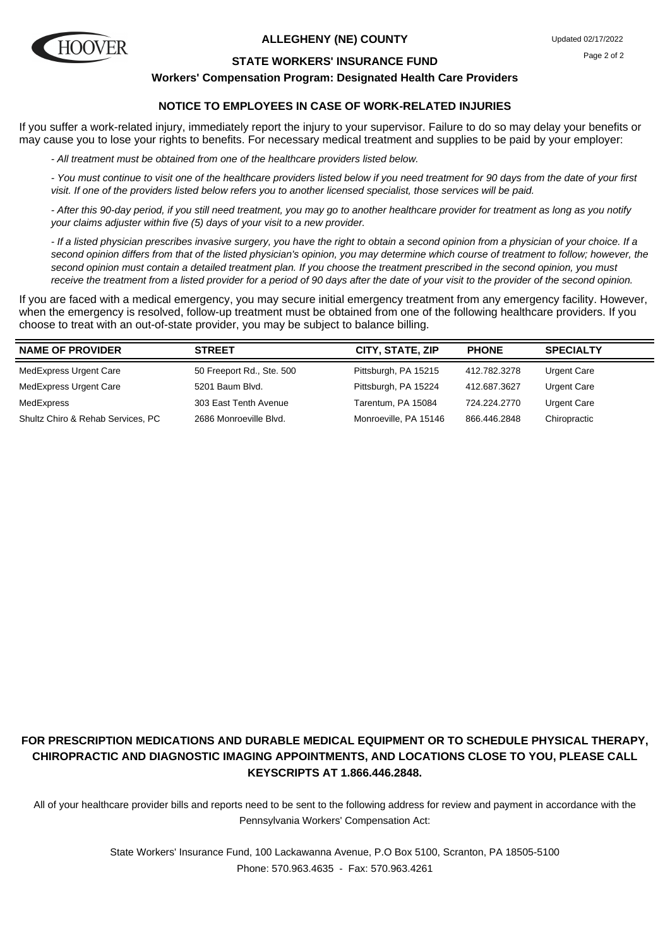

#### **ALLEGHENY (NE) COUNTY**

#### **STATE WORKERS' INSURANCE FUND**

#### **Workers' Compensation Program: Designated Health Care Providers**

## **NOTICE TO EMPLOYEES IN CASE OF WORK-RELATED INJURIES**

If you suffer a work-related injury, immediately report the injury to your supervisor. Failure to do so may delay your benefits or may cause you to lose your rights to benefits. For necessary medical treatment and supplies to be paid by your employer:

- All treatment must be obtained from one of the healthcare providers listed below.

- You must continue to visit one of the healthcare providers listed below if you need treatment for 90 days from the date of your first visit. If one of the providers listed below refers you to another licensed specialist, those services will be paid.

- After this 90-day period, if you still need treatment, you may go to another healthcare provider for treatment as long as you notify your claims adjuster within five (5) days of your visit to a new provider.

- If a listed physician prescribes invasive surgery, you have the right to obtain a second opinion from a physician of your choice. If a second opinion differs from that of the listed physician's opinion, you may determine which course of treatment to follow; however, the second opinion must contain a detailed treatment plan. If you choose the treatment prescribed in the second opinion, you must receive the treatment from a listed provider for a period of 90 days after the date of your visit to the provider of the second opinion.

If you are faced with a medical emergency, you may secure initial emergency treatment from any emergency facility. However, when the emergency is resolved, follow-up treatment must be obtained from one of the following healthcare providers. If you choose to treat with an out-of-state provider, you may be subject to balance billing.

| <b>NAME OF PROVIDER</b>           | <b>STREET</b>             | CITY, STATE, ZIP      | <b>PHONE</b> | <b>SPECIALTY</b> |
|-----------------------------------|---------------------------|-----------------------|--------------|------------------|
| MedExpress Urgent Care            | 50 Freeport Rd., Ste. 500 | Pittsburgh, PA 15215  | 412.782.3278 | Urgent Care      |
| <b>MedExpress Urgent Care</b>     | 5201 Baum Blvd.           | Pittsburgh, PA 15224  | 412.687.3627 | Urgent Care      |
| MedExpress                        | 303 East Tenth Avenue     | Tarentum, PA 15084    | 724.224.2770 | Urgent Care      |
| Shultz Chiro & Rehab Services, PC | 2686 Monroeville Blvd.    | Monroeville, PA 15146 | 866.446.2848 | Chiropractic     |

# **FOR PRESCRIPTION MEDICATIONS AND DURABLE MEDICAL EQUIPMENT OR TO SCHEDULE PHYSICAL THERAPY, CHIROPRACTIC AND DIAGNOSTIC IMAGING APPOINTMENTS, AND LOCATIONS CLOSE TO YOU, PLEASE CALL KEYSCRIPTS AT 1.866.446.2848.**

All of your healthcare provider bills and reports need to be sent to the following address for review and payment in accordance with the Pennsylvania Workers' Compensation Act: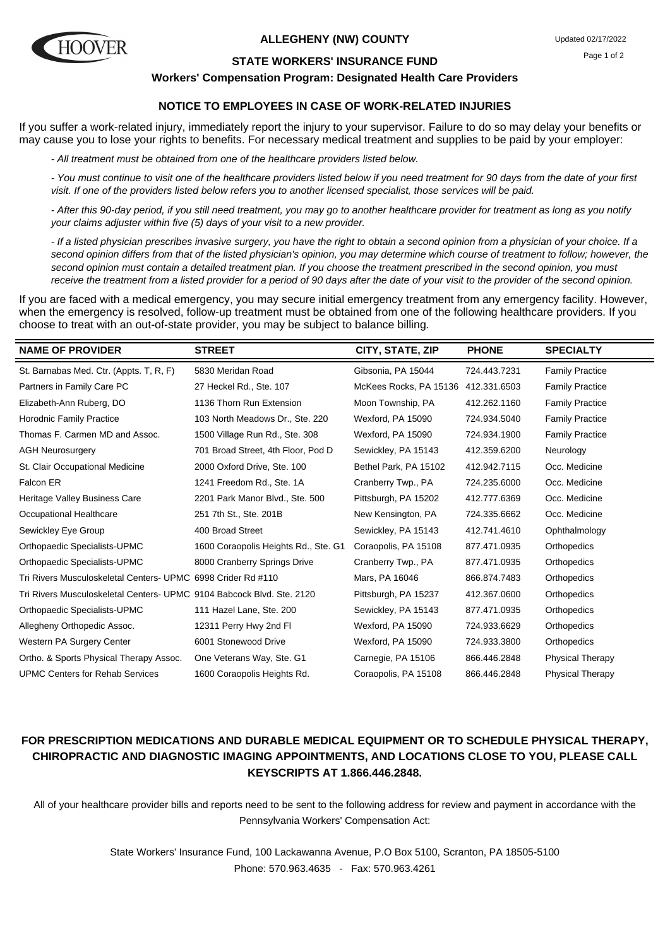

#### **ALLEGHENY (NW) COUNTY**

#### **STATE WORKERS' INSURANCE FUND**

**Workers' Compensation Program: Designated Health Care Providers**

## **NOTICE TO EMPLOYEES IN CASE OF WORK-RELATED INJURIES**

If you suffer a work-related injury, immediately report the injury to your supervisor. Failure to do so may delay your benefits or may cause you to lose your rights to benefits. For necessary medical treatment and supplies to be paid by your employer:

- All treatment must be obtained from one of the healthcare providers listed below.

- You must continue to visit one of the healthcare providers listed below if you need treatment for 90 days from the date of your first visit. If one of the providers listed below refers you to another licensed specialist, those services will be paid.

- After this 90-day period, if you still need treatment, you may go to another healthcare provider for treatment as long as you notify your claims adjuster within five (5) days of your visit to a new provider.

- If a listed physician prescribes invasive surgery, you have the right to obtain a second opinion from a physician of your choice. If a second opinion differs from that of the listed physician's opinion, you may determine which course of treatment to follow; however, the second opinion must contain a detailed treatment plan. If you choose the treatment prescribed in the second opinion, you must receive the treatment from a listed provider for a period of 90 days after the date of your visit to the provider of the second opinion.

If you are faced with a medical emergency, you may secure initial emergency treatment from any emergency facility. However, when the emergency is resolved, follow-up treatment must be obtained from one of the following healthcare providers. If you choose to treat with an out-of-state provider, you may be subject to balance billing.

| <b>NAME OF PROVIDER</b>                                               | <b>STREET</b>                        | CITY, STATE, ZIP       | <b>PHONE</b> | <b>SPECIALTY</b>        |
|-----------------------------------------------------------------------|--------------------------------------|------------------------|--------------|-------------------------|
| St. Barnabas Med. Ctr. (Appts. T, R, F)                               | 5830 Meridan Road                    | Gibsonia, PA 15044     | 724.443.7231 | <b>Family Practice</b>  |
| Partners in Family Care PC                                            | 27 Heckel Rd., Ste. 107              | McKees Rocks, PA 15136 | 412.331.6503 | <b>Family Practice</b>  |
| Elizabeth-Ann Ruberg, DO                                              | 1136 Thorn Run Extension             | Moon Township, PA      | 412.262.1160 | <b>Family Practice</b>  |
| <b>Horodnic Family Practice</b>                                       | 103 North Meadows Dr., Ste. 220      | Wexford, PA 15090      | 724.934.5040 | <b>Family Practice</b>  |
| Thomas F. Carmen MD and Assoc.                                        | 1500 Village Run Rd., Ste. 308       | Wexford, PA 15090      | 724.934.1900 | <b>Family Practice</b>  |
| <b>AGH Neurosurgery</b>                                               | 701 Broad Street, 4th Floor, Pod D   | Sewickley, PA 15143    | 412.359.6200 | Neurology               |
| St. Clair Occupational Medicine                                       | 2000 Oxford Drive, Ste. 100          | Bethel Park, PA 15102  | 412.942.7115 | Occ. Medicine           |
| Falcon ER                                                             | 1241 Freedom Rd., Ste. 1A            | Cranberry Twp., PA     | 724.235.6000 | Occ. Medicine           |
| Heritage Valley Business Care                                         | 2201 Park Manor Blvd., Ste. 500      | Pittsburgh, PA 15202   | 412.777.6369 | Occ. Medicine           |
| Occupational Healthcare                                               | 251 7th St., Ste. 201B               | New Kensington, PA     | 724.335.6662 | Occ. Medicine           |
| Sewickley Eye Group                                                   | 400 Broad Street                     | Sewickley, PA 15143    | 412.741.4610 | Ophthalmology           |
| Orthopaedic Specialists-UPMC                                          | 1600 Coraopolis Heights Rd., Ste. G1 | Coraopolis, PA 15108   | 877.471.0935 | Orthopedics             |
| Orthopaedic Specialists-UPMC                                          | 8000 Cranberry Springs Drive         | Cranberry Twp., PA     | 877.471.0935 | Orthopedics             |
| Tri Rivers Musculoskeletal Centers- UPMC 6998 Crider Rd #110          |                                      | Mars, PA 16046         | 866.874.7483 | Orthopedics             |
| Tri Rivers Musculoskeletal Centers- UPMC 9104 Babcock Blyd. Ste. 2120 |                                      | Pittsburgh, PA 15237   | 412.367.0600 | Orthopedics             |
| Orthopaedic Specialists-UPMC                                          | 111 Hazel Lane, Ste. 200             | Sewickley, PA 15143    | 877.471.0935 | Orthopedics             |
| Allegheny Orthopedic Assoc.                                           | 12311 Perry Hwy 2nd FI               | Wexford, PA 15090      | 724.933.6629 | Orthopedics             |
| Western PA Surgery Center                                             | 6001 Stonewood Drive                 | Wexford, PA 15090      | 724.933.3800 | Orthopedics             |
| Ortho. & Sports Physical Therapy Assoc.                               | One Veterans Way, Ste. G1            | Carnegie, PA 15106     | 866.446.2848 | <b>Physical Therapy</b> |
| <b>UPMC Centers for Rehab Services</b>                                | 1600 Coraopolis Heights Rd.          | Coraopolis, PA 15108   | 866.446.2848 | <b>Physical Therapy</b> |

## **FOR PRESCRIPTION MEDICATIONS AND DURABLE MEDICAL EQUIPMENT OR TO SCHEDULE PHYSICAL THERAPY, CHIROPRACTIC AND DIAGNOSTIC IMAGING APPOINTMENTS, AND LOCATIONS CLOSE TO YOU, PLEASE CALL KEYSCRIPTS AT 1.866.446.2848.**

All of your healthcare provider bills and reports need to be sent to the following address for review and payment in accordance with the Pennsylvania Workers' Compensation Act: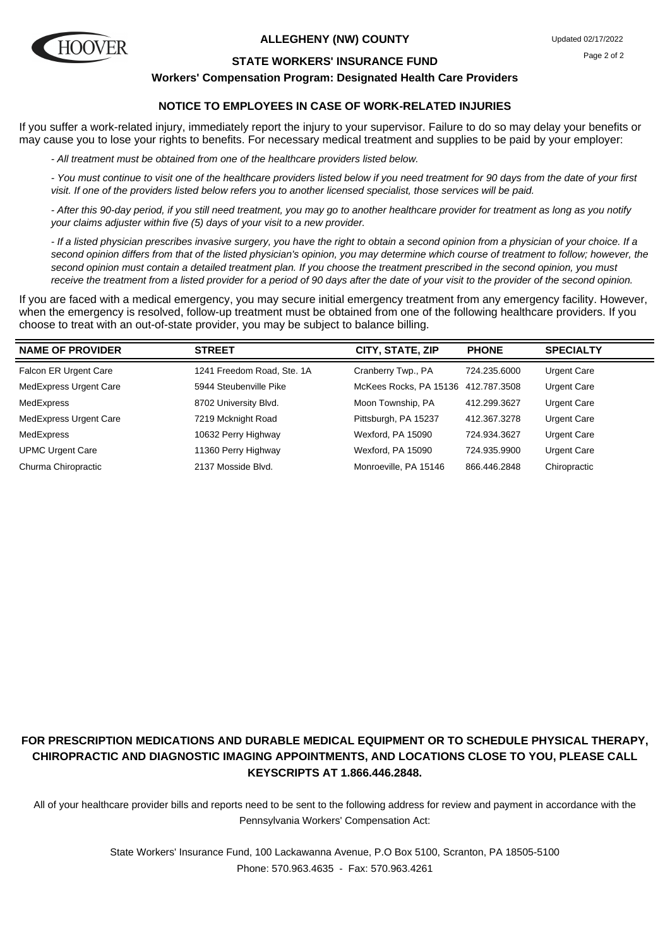

#### **ALLEGHENY (NW) COUNTY**

#### **STATE WORKERS' INSURANCE FUND**

#### **Workers' Compensation Program: Designated Health Care Providers**

## **NOTICE TO EMPLOYEES IN CASE OF WORK-RELATED INJURIES**

If you suffer a work-related injury, immediately report the injury to your supervisor. Failure to do so may delay your benefits or may cause you to lose your rights to benefits. For necessary medical treatment and supplies to be paid by your employer:

- All treatment must be obtained from one of the healthcare providers listed below.

- You must continue to visit one of the healthcare providers listed below if you need treatment for 90 days from the date of your first visit. If one of the providers listed below refers you to another licensed specialist, those services will be paid.

- After this 90-day period, if you still need treatment, you may go to another healthcare provider for treatment as long as you notify your claims adjuster within five (5) days of your visit to a new provider.

- If a listed physician prescribes invasive surgery, you have the right to obtain a second opinion from a physician of your choice. If a second opinion differs from that of the listed physician's opinion, you may determine which course of treatment to follow; however, the second opinion must contain a detailed treatment plan. If you choose the treatment prescribed in the second opinion, you must receive the treatment from a listed provider for a period of 90 days after the date of your visit to the provider of the second opinion.

If you are faced with a medical emergency, you may secure initial emergency treatment from any emergency facility. However, when the emergency is resolved, follow-up treatment must be obtained from one of the following healthcare providers. If you choose to treat with an out-of-state provider, you may be subject to balance billing.

| <b>NAME OF PROVIDER</b> | <b>STREET</b>              | CITY, STATE, ZIP       | <b>PHONE</b> | <b>SPECIALTY</b>   |
|-------------------------|----------------------------|------------------------|--------------|--------------------|
| Falcon ER Urgent Care   | 1241 Freedom Road, Ste. 1A | Cranberry Twp., PA     | 724.235.6000 | <b>Urgent Care</b> |
| MedExpress Urgent Care  | 5944 Steubenville Pike     | McKees Rocks, PA 15136 | 412.787.3508 | <b>Urgent Care</b> |
| MedExpress              | 8702 University Blvd.      | Moon Township, PA      | 412.299.3627 | <b>Urgent Care</b> |
| MedExpress Urgent Care  | 7219 Mcknight Road         | Pittsburgh, PA 15237   | 412.367.3278 | <b>Urgent Care</b> |
| MedExpress              | 10632 Perry Highway        | Wexford, PA 15090      | 724.934.3627 | <b>Urgent Care</b> |
| <b>UPMC Urgent Care</b> | 11360 Perry Highway        | Wexford, PA 15090      | 724.935.9900 | <b>Urgent Care</b> |
| Churma Chiropractic     | 2137 Mosside Blvd.         | Monroeville, PA 15146  | 866.446.2848 | Chiropractic       |

# **FOR PRESCRIPTION MEDICATIONS AND DURABLE MEDICAL EQUIPMENT OR TO SCHEDULE PHYSICAL THERAPY, CHIROPRACTIC AND DIAGNOSTIC IMAGING APPOINTMENTS, AND LOCATIONS CLOSE TO YOU, PLEASE CALL KEYSCRIPTS AT 1.866.446.2848.**

All of your healthcare provider bills and reports need to be sent to the following address for review and payment in accordance with the Pennsylvania Workers' Compensation Act: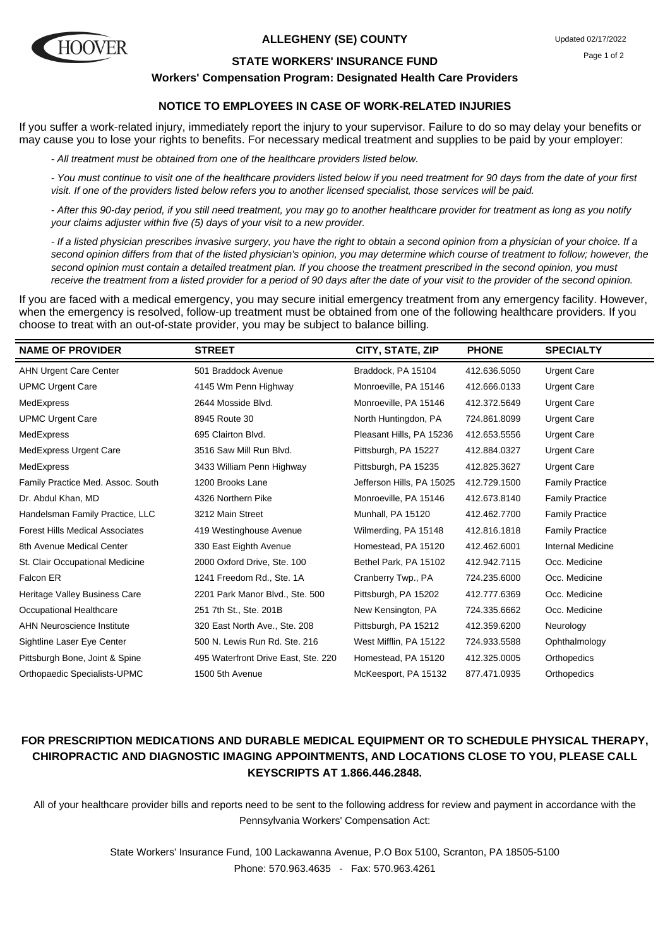

#### **ALLEGHENY (SE) COUNTY**

#### **STATE WORKERS' INSURANCE FUND**

#### **Workers' Compensation Program: Designated Health Care Providers**

## **NOTICE TO EMPLOYEES IN CASE OF WORK-RELATED INJURIES**

If you suffer a work-related injury, immediately report the injury to your supervisor. Failure to do so may delay your benefits or may cause you to lose your rights to benefits. For necessary medical treatment and supplies to be paid by your employer:

- All treatment must be obtained from one of the healthcare providers listed below.

- You must continue to visit one of the healthcare providers listed below if you need treatment for 90 days from the date of your first visit. If one of the providers listed below refers you to another licensed specialist, those services will be paid.

- After this 90-day period, if you still need treatment, you may go to another healthcare provider for treatment as long as you notify your claims adjuster within five (5) days of your visit to a new provider.

- If a listed physician prescribes invasive surgery, you have the right to obtain a second opinion from a physician of your choice. If a second opinion differs from that of the listed physician's opinion, you may determine which course of treatment to follow; however, the second opinion must contain a detailed treatment plan. If you choose the treatment prescribed in the second opinion, you must receive the treatment from a listed provider for a period of 90 days after the date of your visit to the provider of the second opinion.

If you are faced with a medical emergency, you may secure initial emergency treatment from any emergency facility. However, when the emergency is resolved, follow-up treatment must be obtained from one of the following healthcare providers. If you choose to treat with an out-of-state provider, you may be subject to balance billing.

| <b>NAME OF PROVIDER</b>                | <b>STREET</b>                       | CITY, STATE, ZIP          | <b>PHONE</b> | <b>SPECIALTY</b>       |
|----------------------------------------|-------------------------------------|---------------------------|--------------|------------------------|
| <b>AHN Urgent Care Center</b>          | 501 Braddock Avenue                 | Braddock, PA 15104        | 412.636.5050 | <b>Urgent Care</b>     |
| <b>UPMC Urgent Care</b>                | 4145 Wm Penn Highway                | Monroeville, PA 15146     | 412.666.0133 | <b>Urgent Care</b>     |
| MedExpress                             | 2644 Mosside Blvd.                  | Monroeville, PA 15146     | 412.372.5649 | <b>Urgent Care</b>     |
| <b>UPMC Urgent Care</b>                | 8945 Route 30                       | North Huntingdon, PA      | 724.861.8099 | <b>Urgent Care</b>     |
| MedExpress                             | 695 Clairton Blvd.                  | Pleasant Hills, PA 15236  | 412.653.5556 | <b>Urgent Care</b>     |
| MedExpress Urgent Care                 | 3516 Saw Mill Run Blvd.             | Pittsburgh, PA 15227      | 412.884.0327 | <b>Urgent Care</b>     |
| MedExpress                             | 3433 William Penn Highway           | Pittsburgh, PA 15235      | 412.825.3627 | <b>Urgent Care</b>     |
| Family Practice Med. Assoc. South      | 1200 Brooks Lane                    | Jefferson Hills, PA 15025 | 412.729.1500 | <b>Family Practice</b> |
| Dr. Abdul Khan, MD                     | 4326 Northern Pike                  | Monroeville, PA 15146     | 412.673.8140 | <b>Family Practice</b> |
| Handelsman Family Practice, LLC        | 3212 Main Street                    | Munhall, PA 15120         | 412.462.7700 | <b>Family Practice</b> |
| <b>Forest Hills Medical Associates</b> | 419 Westinghouse Avenue             | Wilmerding, PA 15148      | 412.816.1818 | <b>Family Practice</b> |
| 8th Avenue Medical Center              | 330 East Eighth Avenue              | Homestead, PA 15120       | 412.462.6001 | Internal Medicine      |
| St. Clair Occupational Medicine        | 2000 Oxford Drive, Ste. 100         | Bethel Park, PA 15102     | 412.942.7115 | Occ. Medicine          |
| Falcon ER                              | 1241 Freedom Rd., Ste. 1A           | Cranberry Twp., PA        | 724.235.6000 | Occ. Medicine          |
| Heritage Valley Business Care          | 2201 Park Manor Blvd., Ste. 500     | Pittsburgh, PA 15202      | 412.777.6369 | Occ. Medicine          |
| Occupational Healthcare                | 251 7th St., Ste. 201B              | New Kensington, PA        | 724.335.6662 | Occ. Medicine          |
| <b>AHN Neuroscience Institute</b>      | 320 East North Ave., Ste. 208       | Pittsburgh, PA 15212      | 412.359.6200 | Neurology              |
| Sightline Laser Eye Center             | 500 N. Lewis Run Rd. Ste. 216       | West Mifflin, PA 15122    | 724.933.5588 | Ophthalmology          |
| Pittsburgh Bone, Joint & Spine         | 495 Waterfront Drive East, Ste. 220 | Homestead, PA 15120       | 412.325.0005 | Orthopedics            |
| Orthopaedic Specialists-UPMC           | 1500 5th Avenue                     | McKeesport, PA 15132      | 877.471.0935 | Orthopedics            |
|                                        |                                     |                           |              |                        |

## **FOR PRESCRIPTION MEDICATIONS AND DURABLE MEDICAL EQUIPMENT OR TO SCHEDULE PHYSICAL THERAPY, CHIROPRACTIC AND DIAGNOSTIC IMAGING APPOINTMENTS, AND LOCATIONS CLOSE TO YOU, PLEASE CALL KEYSCRIPTS AT 1.866.446.2848.**

All of your healthcare provider bills and reports need to be sent to the following address for review and payment in accordance with the Pennsylvania Workers' Compensation Act: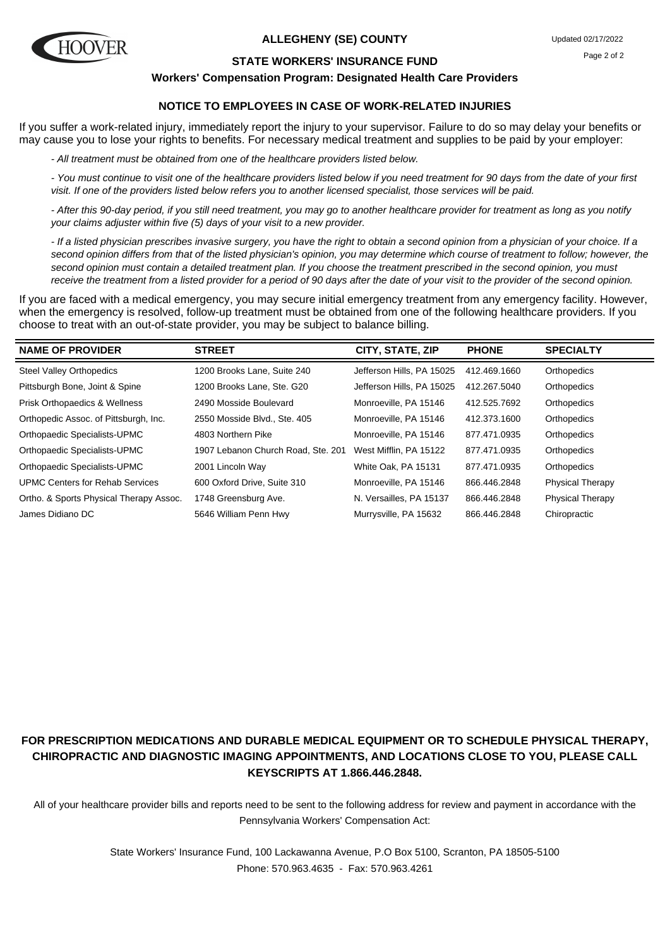

#### **ALLEGHENY (SE) COUNTY**

#### **STATE WORKERS' INSURANCE FUND**

#### **Workers' Compensation Program: Designated Health Care Providers**

## **NOTICE TO EMPLOYEES IN CASE OF WORK-RELATED INJURIES**

If you suffer a work-related injury, immediately report the injury to your supervisor. Failure to do so may delay your benefits or may cause you to lose your rights to benefits. For necessary medical treatment and supplies to be paid by your employer:

- All treatment must be obtained from one of the healthcare providers listed below.

- You must continue to visit one of the healthcare providers listed below if you need treatment for 90 days from the date of your first visit. If one of the providers listed below refers you to another licensed specialist, those services will be paid.

- After this 90-day period, if you still need treatment, you may go to another healthcare provider for treatment as long as you notify your claims adjuster within five (5) days of your visit to a new provider.

- If a listed physician prescribes invasive surgery, you have the right to obtain a second opinion from a physician of your choice. If a second opinion differs from that of the listed physician's opinion, you may determine which course of treatment to follow; however, the second opinion must contain a detailed treatment plan. If you choose the treatment prescribed in the second opinion, you must receive the treatment from a listed provider for a period of 90 days after the date of your visit to the provider of the second opinion.

If you are faced with a medical emergency, you may secure initial emergency treatment from any emergency facility. However, when the emergency is resolved, follow-up treatment must be obtained from one of the following healthcare providers. If you choose to treat with an out-of-state provider, you may be subject to balance billing.

| <b>NAME OF PROVIDER</b>                 | <b>STREET</b>                      | CITY, STATE, ZIP          | <b>PHONE</b> | <b>SPECIALTY</b>        |
|-----------------------------------------|------------------------------------|---------------------------|--------------|-------------------------|
| <b>Steel Valley Orthopedics</b>         | 1200 Brooks Lane, Suite 240        | Jefferson Hills, PA 15025 | 412.469.1660 | Orthopedics             |
| Pittsburgh Bone, Joint & Spine          | 1200 Brooks Lane, Ste. G20         | Jefferson Hills, PA 15025 | 412.267.5040 | Orthopedics             |
| Prisk Orthopaedics & Wellness           | 2490 Mosside Boulevard             | Monroeville, PA 15146     | 412.525.7692 | Orthopedics             |
| Orthopedic Assoc. of Pittsburgh, Inc.   | 2550 Mosside Blvd., Ste. 405       | Monroeville, PA 15146     | 412.373.1600 | Orthopedics             |
| Orthopaedic Specialists-UPMC            | 4803 Northern Pike                 | Monroeville, PA 15146     | 877.471.0935 | Orthopedics             |
| Orthopaedic Specialists-UPMC            | 1907 Lebanon Church Road, Ste. 201 | West Mifflin, PA 15122    | 877.471.0935 | Orthopedics             |
| Orthopaedic Specialists-UPMC            | 2001 Lincoln Way                   | White Oak, PA 15131       | 877.471.0935 | Orthopedics             |
| <b>UPMC Centers for Rehab Services</b>  | 600 Oxford Drive, Suite 310        | Monroeville, PA 15146     | 866.446.2848 | <b>Physical Therapy</b> |
| Ortho. & Sports Physical Therapy Assoc. | 1748 Greensburg Ave.               | N. Versailles, PA 15137   | 866.446.2848 | <b>Physical Therapy</b> |
| James Didiano DC                        | 5646 William Penn Hwy              | Murrysville, PA 15632     | 866.446.2848 | Chiropractic            |

# **FOR PRESCRIPTION MEDICATIONS AND DURABLE MEDICAL EQUIPMENT OR TO SCHEDULE PHYSICAL THERAPY, CHIROPRACTIC AND DIAGNOSTIC IMAGING APPOINTMENTS, AND LOCATIONS CLOSE TO YOU, PLEASE CALL KEYSCRIPTS AT 1.866.446.2848.**

All of your healthcare provider bills and reports need to be sent to the following address for review and payment in accordance with the Pennsylvania Workers' Compensation Act: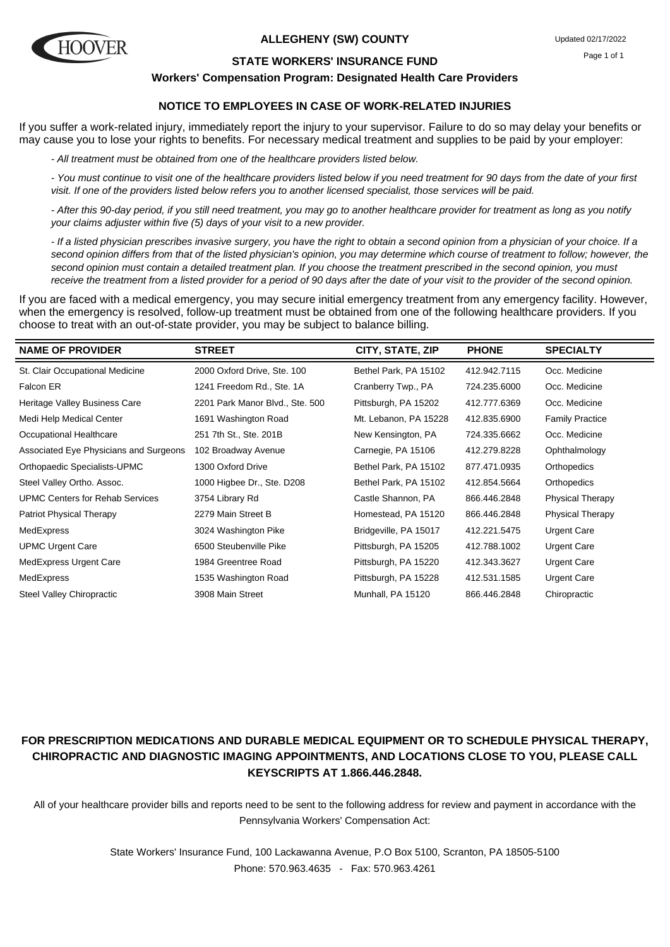

#### **ALLEGHENY (SW) COUNTY**

#### **STATE WORKERS' INSURANCE FUND**

#### **Workers' Compensation Program: Designated Health Care Providers**

## **NOTICE TO EMPLOYEES IN CASE OF WORK-RELATED INJURIES**

If you suffer a work-related injury, immediately report the injury to your supervisor. Failure to do so may delay your benefits or may cause you to lose your rights to benefits. For necessary medical treatment and supplies to be paid by your employer:

- All treatment must be obtained from one of the healthcare providers listed below.

- You must continue to visit one of the healthcare providers listed below if you need treatment for 90 days from the date of your first visit. If one of the providers listed below refers you to another licensed specialist, those services will be paid.

- After this 90-day period, if you still need treatment, you may go to another healthcare provider for treatment as long as you notify your claims adjuster within five (5) days of your visit to a new provider.

- If a listed physician prescribes invasive surgery, you have the right to obtain a second opinion from a physician of your choice. If a second opinion differs from that of the listed physician's opinion, you may determine which course of treatment to follow; however, the second opinion must contain a detailed treatment plan. If you choose the treatment prescribed in the second opinion, you must receive the treatment from a listed provider for a period of 90 days after the date of your visit to the provider of the second opinion.

If you are faced with a medical emergency, you may secure initial emergency treatment from any emergency facility. However, when the emergency is resolved, follow-up treatment must be obtained from one of the following healthcare providers. If you choose to treat with an out-of-state provider, you may be subject to balance billing.

| <b>NAME OF PROVIDER</b>                | <b>STREET</b>                   | CITY, STATE, ZIP      | <b>PHONE</b> | <b>SPECIALTY</b>        |
|----------------------------------------|---------------------------------|-----------------------|--------------|-------------------------|
| St. Clair Occupational Medicine        | 2000 Oxford Drive, Ste. 100     | Bethel Park, PA 15102 | 412.942.7115 | Occ. Medicine           |
| Falcon ER                              | 1241 Freedom Rd., Ste. 1A       | Cranberry Twp., PA    | 724.235.6000 | Occ. Medicine           |
| Heritage Valley Business Care          | 2201 Park Manor Blvd., Ste. 500 | Pittsburgh, PA 15202  | 412.777.6369 | Occ. Medicine           |
| Medi Help Medical Center               | 1691 Washington Road            | Mt. Lebanon, PA 15228 | 412.835.6900 | <b>Family Practice</b>  |
| Occupational Healthcare                | 251 7th St., Ste. 201B          | New Kensington, PA    | 724.335.6662 | Occ. Medicine           |
| Associated Eye Physicians and Surgeons | 102 Broadway Avenue             | Carnegie, PA 15106    | 412.279.8228 | Ophthalmology           |
| Orthopaedic Specialists-UPMC           | 1300 Oxford Drive               | Bethel Park, PA 15102 | 877.471.0935 | Orthopedics             |
| Steel Valley Ortho. Assoc.             | 1000 Higbee Dr., Ste. D208      | Bethel Park, PA 15102 | 412.854.5664 | Orthopedics             |
| <b>UPMC Centers for Rehab Services</b> | 3754 Library Rd                 | Castle Shannon, PA    | 866.446.2848 | <b>Physical Therapy</b> |
| Patriot Physical Therapy               | 2279 Main Street B              | Homestead, PA 15120   | 866.446.2848 | Physical Therapy        |
| MedExpress                             | 3024 Washington Pike            | Bridgeville, PA 15017 | 412.221.5475 | <b>Urgent Care</b>      |
| <b>UPMC Urgent Care</b>                | 6500 Steubenville Pike          | Pittsburgh, PA 15205  | 412.788.1002 | <b>Urgent Care</b>      |
| MedExpress Urgent Care                 | 1984 Greentree Road             | Pittsburgh, PA 15220  | 412.343.3627 | <b>Urgent Care</b>      |
| MedExpress                             | 1535 Washington Road            | Pittsburgh, PA 15228  | 412.531.1585 | <b>Urgent Care</b>      |
| <b>Steel Valley Chiropractic</b>       | 3908 Main Street                | Munhall, PA 15120     | 866.446.2848 | Chiropractic            |

# **FOR PRESCRIPTION MEDICATIONS AND DURABLE MEDICAL EQUIPMENT OR TO SCHEDULE PHYSICAL THERAPY, CHIROPRACTIC AND DIAGNOSTIC IMAGING APPOINTMENTS, AND LOCATIONS CLOSE TO YOU, PLEASE CALL KEYSCRIPTS AT 1.866.446.2848.**

All of your healthcare provider bills and reports need to be sent to the following address for review and payment in accordance with the Pennsylvania Workers' Compensation Act: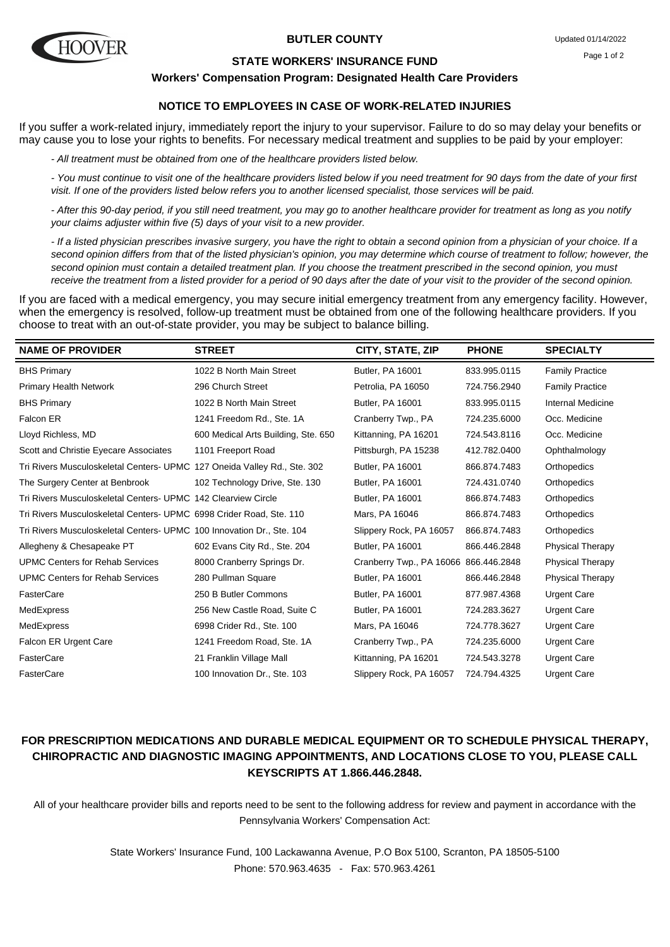

#### **BUTLER COUNTY**

#### **STATE WORKERS' INSURANCE FUND**

#### **Workers' Compensation Program: Designated Health Care Providers**

## **NOTICE TO EMPLOYEES IN CASE OF WORK-RELATED INJURIES**

If you suffer a work-related injury, immediately report the injury to your supervisor. Failure to do so may delay your benefits or may cause you to lose your rights to benefits. For necessary medical treatment and supplies to be paid by your employer:

- All treatment must be obtained from one of the healthcare providers listed below.

- You must continue to visit one of the healthcare providers listed below if you need treatment for 90 days from the date of your first visit. If one of the providers listed below refers you to another licensed specialist, those services will be paid.

- After this 90-day period, if you still need treatment, you may go to another healthcare provider for treatment as long as you notify your claims adjuster within five (5) days of your visit to a new provider.

- If a listed physician prescribes invasive surgery, you have the right to obtain a second opinion from a physician of your choice. If a second opinion differs from that of the listed physician's opinion, you may determine which course of treatment to follow; however, the second opinion must contain a detailed treatment plan. If you choose the treatment prescribed in the second opinion, you must receive the treatment from a listed provider for a period of 90 days after the date of your visit to the provider of the second opinion.

If you are faced with a medical emergency, you may secure initial emergency treatment from any emergency facility. However, when the emergency is resolved, follow-up treatment must be obtained from one of the following healthcare providers. If you choose to treat with an out-of-state provider, you may be subject to balance billing.

| <b>NAME OF PROVIDER</b>                                                  | <b>STREET</b>                       | CITY, STATE, ZIP         | <b>PHONE</b> | <b>SPECIALTY</b>        |
|--------------------------------------------------------------------------|-------------------------------------|--------------------------|--------------|-------------------------|
| <b>BHS Primary</b>                                                       | 1022 B North Main Street            | Butler, PA 16001         | 833.995.0115 | <b>Family Practice</b>  |
| <b>Primary Health Network</b>                                            | 296 Church Street                   | Petrolia, PA 16050       | 724.756.2940 | <b>Family Practice</b>  |
| <b>BHS Primary</b>                                                       | 1022 B North Main Street            | <b>Butler, PA 16001</b>  | 833.995.0115 | Internal Medicine       |
| Falcon ER                                                                | 1241 Freedom Rd., Ste. 1A           | Cranberry Twp., PA       | 724.235.6000 | Occ. Medicine           |
| Lloyd Richless, MD                                                       | 600 Medical Arts Building, Ste. 650 | Kittanning, PA 16201     | 724.543.8116 | Occ. Medicine           |
| Scott and Christie Eyecare Associates                                    | 1101 Freeport Road                  | Pittsburgh, PA 15238     | 412.782.0400 | Ophthalmology           |
| Tri Rivers Musculoskeletal Centers- UPMC 127 Oneida Valley Rd., Ste. 302 |                                     | Butler, PA 16001         | 866.874.7483 | Orthopedics             |
| The Surgery Center at Benbrook                                           | 102 Technology Drive, Ste. 130      | Butler, PA 16001         | 724.431.0740 | Orthopedics             |
| Tri Rivers Musculoskeletal Centers- UPMC 142 Clearview Circle            |                                     | Butler, PA 16001         | 866.874.7483 | Orthopedics             |
| Tri Rivers Musculoskeletal Centers- UPMC 6998 Crider Road, Ste. 110      |                                     | Mars, PA 16046           | 866.874.7483 | Orthopedics             |
| Tri Rivers Musculoskeletal Centers- UPMC 100 Innovation Dr., Ste. 104    |                                     | Slippery Rock, PA 16057  | 866.874.7483 | Orthopedics             |
| Allegheny & Chesapeake PT                                                | 602 Evans City Rd., Ste. 204        | Butler, PA 16001         | 866.446.2848 | <b>Physical Therapy</b> |
| <b>UPMC Centers for Rehab Services</b>                                   | 8000 Cranberry Springs Dr.          | Cranberry Twp., PA 16066 | 866.446.2848 | <b>Physical Therapy</b> |
| <b>UPMC Centers for Rehab Services</b>                                   | 280 Pullman Square                  | <b>Butler, PA 16001</b>  | 866.446.2848 | <b>Physical Therapy</b> |
| FasterCare                                                               | 250 B Butler Commons                | Butler, PA 16001         | 877.987.4368 | <b>Urgent Care</b>      |
| MedExpress                                                               | 256 New Castle Road, Suite C        | Butler, PA 16001         | 724.283.3627 | <b>Urgent Care</b>      |
| MedExpress                                                               | 6998 Crider Rd., Ste. 100           | Mars, PA 16046           | 724.778.3627 | <b>Urgent Care</b>      |
| Falcon ER Urgent Care                                                    | 1241 Freedom Road, Ste. 1A          | Cranberry Twp., PA       | 724.235.6000 | <b>Urgent Care</b>      |
| FasterCare                                                               | 21 Franklin Village Mall            | Kittanning, PA 16201     | 724.543.3278 | <b>Urgent Care</b>      |
| FasterCare                                                               | 100 Innovation Dr., Ste. 103        | Slippery Rock, PA 16057  | 724.794.4325 | <b>Urgent Care</b>      |

## **FOR PRESCRIPTION MEDICATIONS AND DURABLE MEDICAL EQUIPMENT OR TO SCHEDULE PHYSICAL THERAPY, CHIROPRACTIC AND DIAGNOSTIC IMAGING APPOINTMENTS, AND LOCATIONS CLOSE TO YOU, PLEASE CALL KEYSCRIPTS AT 1.866.446.2848.**

All of your healthcare provider bills and reports need to be sent to the following address for review and payment in accordance with the Pennsylvania Workers' Compensation Act: